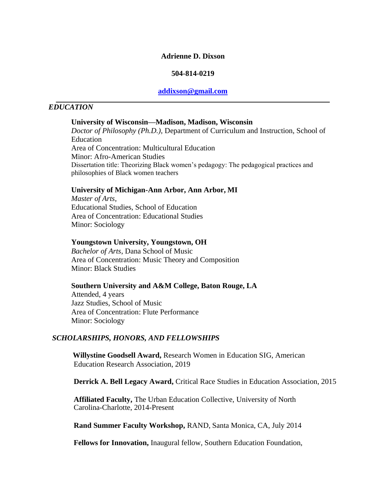#### **Adrienne D. Dixson**

#### **504-814-0219**

#### **[addixson@gmail.com](mailto:addixson@gmail.com)**

#### *EDUCATION*

#### **University of Wisconsin—Madison, Madison, Wisconsin**

*Doctor of Philosophy (Ph.D.),* Department of Curriculum and Instruction, School of Education Area of Concentration: Multicultural Education Minor: Afro-American Studies Dissertation title: Theorizing Black women's pedagogy: The pedagogical practices and philosophies of Black women teachers

#### **University of Michigan-Ann Arbor, Ann Arbor, MI**

*Master of Arts*, Educational Studies, School of Education Area of Concentration: Educational Studies Minor: Sociology

#### **Youngstown University, Youngstown, OH**

*Bachelor of Arts*, Dana School of Music Area of Concentration: Music Theory and Composition Minor: Black Studies

#### **Southern University and A&M College, Baton Rouge, LA**

Attended, 4 years Jazz Studies, School of Music Area of Concentration: Flute Performance Minor: Sociology

#### *SCHOLARSHIPS, HONORS, AND FELLOWSHIPS*

**Willystine Goodsell Award,** Research Women in Education SIG, American Education Research Association, 2019

**Derrick A. Bell Legacy Award,** Critical Race Studies in Education Association, 2015

**Affiliated Faculty,** The Urban Education Collective, University of North Carolina-Charlotte, 2014-Present

**Rand Summer Faculty Workshop,** RAND, Santa Monica, CA, July 2014

**Fellows for Innovation,** Inaugural fellow, Southern Education Foundation,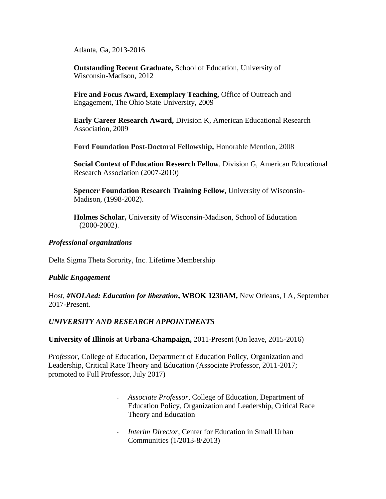Atlanta, Ga, 2013-2016

**Outstanding Recent Graduate,** School of Education, University of Wisconsin-Madison, 2012

**Fire and Focus Award, Exemplary Teaching,** Office of Outreach and Engagement, The Ohio State University, 2009

**Early Career Research Award,** Division K, American Educational Research Association, 2009

**Ford Foundation Post-Doctoral Fellowship,** Honorable Mention, 2008

**Social Context of Education Research Fellow**, Division G, American Educational Research Association (2007-2010)

**Spencer Foundation Research Training Fellow**, University of Wisconsin-Madison, (1998-2002).

**Holmes Scholar,** University of Wisconsin-Madison, School of Education (2000-2002).

## *Professional organizations*

Delta Sigma Theta Sorority, Inc. Lifetime Membership

## *Public Engagement*

Host, *#NOLAed: Education for liberation***, WBOK 1230AM,** New Orleans, LA, September 2017-Present.

## *UNIVERSITY AND RESEARCH APPOINTMENTS*

#### **University of Illinois at Urbana-Champaign,** 2011-Present (On leave, 2015-2016)

*Professor*, College of Education, Department of Education Policy, Organization and Leadership, Critical Race Theory and Education (Associate Professor, 2011-2017; promoted to Full Professor, July 2017)

- *Associate Professor*, College of Education, Department of Education Policy, Organization and Leadership, Critical Race Theory and Education
- Interim Director, Center for Education in Small Urban Communities (1/2013-8/2013)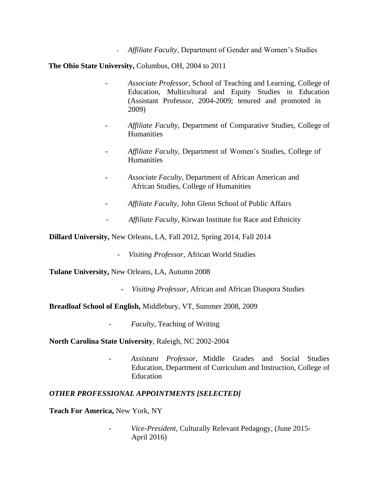- *Affiliate Faculty*, Department of Gender and Women's Studies

**The Ohio State University,** Columbus, OH, 2004 to 2011

- *Associate Professor*, School of Teaching and Learning, College of Education, Multicultural and Equity Studies in Education (Assistant Professor, 2004-2009; tenured and promoted in 2009)
- *Affiliate Faculty,* Department of Comparative Studies, College of Humanities
- *Affiliate Faculty,* Department of Women's Studies, College of **Humanities**
- *Associate Faculty*, Department of African American and African Studies, College of Humanities
- *Affiliate Faculty,* John Glenn School of Public Affairs
- *Affiliate Faculty,* Kirwan Institute for Race and Ethnicity

**Dillard University,** New Orleans, LA, Fall 2012, Spring 2014, Fall 2014

- *Visiting Professor,* African World Studies

**Tulane University,** New Orleans, LA, Autumn 2008

- *Visiting Professor*, African and African Diaspora Studies

**Breadloaf School of English,** Middlebury, VT, Summer 2008, 2009

- *Faculty*, Teaching of Writing

**North Carolina State University**, Raleigh, NC 2002-2004

- *Assistant Professor,* Middle Grades and Social Studies Education, Department of Curriculum and Instruction, College of Education

## *OTHER PROFESSIONAL APPOINTMENTS [SELECTED]*

**Teach For America,** New York, NY

- *Vice-President,* Culturally Relevant Pedagogy, (June 2015- April 2016)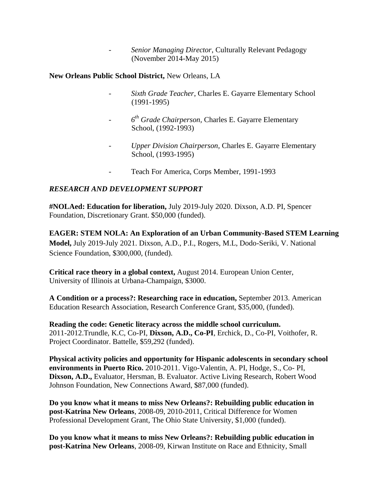- *Senior Managing Director*, Culturally Relevant Pedagogy (November 2014-May 2015)

## **New Orleans Public School District,** New Orleans, LA

- *Sixth Grade Teacher*, Charles E. Gayarre Elementary School (1991-1995)
- *6 th Grade Chairperson,* Charles E. Gayarre Elementary School, (1992-1993)
- *Upper Division Chairperson,* Charles E. Gayarre Elementary School, (1993-1995)
- Teach For America, Corps Member, 1991-1993

## *RESEARCH AND DEVELOPMENT SUPPORT*

**#NOLAed: Education for liberation,** July 2019-July 2020. Dixson, A.D. PI, Spencer Foundation, Discretionary Grant. \$50,000 (funded).

**EAGER: STEM NOLA: An Exploration of an Urban Community-Based STEM Learning Model,** July 2019-July 2021. Dixson, A.D., P.I., Rogers, M.L, Dodo-Seriki, V. National Science Foundation, \$300,000, (funded).

**Critical race theory in a global context,** August 2014. European Union Center, University of Illinois at Urbana-Champaign, \$3000.

**A Condition or a process?: Researching race in education,** September 2013. American Education Research Association, Research Conference Grant, \$35,000, (funded).

**Reading the code: Genetic literacy across the middle school curriculum.** 2011-2012.Trundle, K.C, Co-PI, **Dixson, A.D., Co-PI**, Erchick, D., Co-PI, Voithofer, R. Project Coordinator. Battelle, \$59,292 (funded).

**Physical activity policies and opportunity for Hispanic adolescents in secondary school environments in Puerto Rico.** 2010-2011. Vigo-Valentin, A. PI, Hodge, S., Co- PI, **Dixson, A.D.,** Evaluator, Hersman, B. Evaluator. Active Living Research, Robert Wood Johnson Foundation, New Connections Award, \$87,000 (funded).

**Do you know what it means to miss New Orleans?: Rebuilding public education in post-Katrina New Orleans**, 2008-09, 2010-2011, Critical Difference for Women Professional Development Grant, The Ohio State University, \$1,000 (funded).

**Do you know what it means to miss New Orleans?: Rebuilding public education in post-Katrina New Orleans**, 2008-09, Kirwan Institute on Race and Ethnicity, Small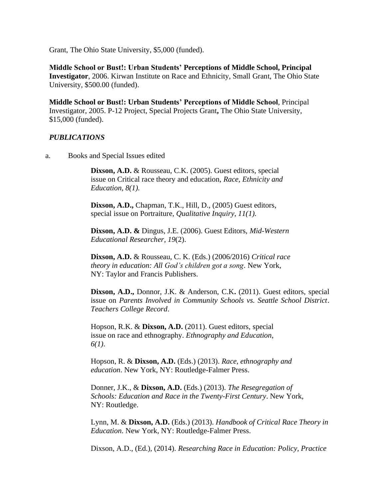Grant, The Ohio State University, \$5,000 (funded).

**Middle School or Bust!: Urban Students' Perceptions of Middle School, Principal Investigator**, 2006. Kirwan Institute on Race and Ethnicity, Small Grant, The Ohio State University, \$500.00 (funded).

**Middle School or Bust!: Urban Students' Perceptions of Middle School**, Principal Investigator, 2005. P-12 Project, Special Projects Grant**,** The Ohio State University, \$15,000 (funded).

## *PUBLICATIONS*

a. Books and Special Issues edited

**Dixson, A.D.** & Rousseau, C.K. (2005). Guest editors, special issue on Critical race theory and education, *Race, Ethnicity and Education*, *8(1).*

**Dixson, A.D.,** Chapman, T.K., Hill, D., (2005) Guest editors, special issue on Portraiture, *Qualitative Inquiry*, *11(1).*

**Dixson, A.D. &** Dingus, J.E. (2006). Guest Editors, *Mid-Western Educational Researcher*, *19*(2).

**Dixson, A.D.** & Rousseau, C. K. (Eds.) (2006/2016) *Critical race theory in education: All God's children got a song*. New York, NY: Taylor and Francis Publishers.

**Dixson, A.D.,** Donnor, J.K. & Anderson, C.K**.** (2011). Guest editors, special issue on *Parents Involved in Community Schools vs. Seattle School District*. *Teachers College Record*.

Hopson, R.K. & **Dixson, A.D.** (2011). Guest editors, special issue on race and ethnography. *Ethnography and Education*, *6(1)*.

Hopson, R. & **Dixson, A.D.** (Eds.) (2013). *Race, ethnography and education*. New York, NY: Routledge-Falmer Press.

Donner, J.K., & **Dixson, A.D.** (Eds.) (2013). *The Resegregation of Schools: Education and Race in the Twenty-First Century*. New York, NY: Routledge.

Lynn, M. & **Dixson, A.D.** (Eds.) (2013). *Handbook of Critical Race Theory in Education*. New York, NY: Routledge-Falmer Press.

Dixson, A.D., (Ed.), (2014). *Researching Race in Education: Policy, Practice*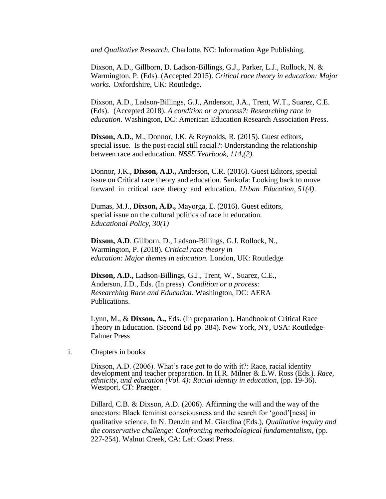*and Qualitative Research.* Charlotte, NC: Information Age Publishing.

Dixson, A.D., Gillborn, D. Ladson-Billings, G.J., Parker, L.J., Rollock, N. & Warmington, P. (Eds). (Accepted 2015). *Critical race theory in education: Major works.* Oxfordshire, UK: Routledge.

Dixson, A.D., Ladson-Billings, G.J., Anderson, J.A., Trent, W.T., Suarez, C.E. (Eds). (Accepted 2018). *A condition or a process?: Researching race in education*. Washington, DC: American Education Research Association Press.

**Dixson, A.D.**, M., Donnor, J.K. & Reynolds, R. (2015). Guest editors, special issue. Is the post-racial still racial?: Understanding the relationship between race and education. *NSSE Yearbook, 114,(2).*

Donnor, J.K., **Dixson, A.D.,** Anderson, C.R. (2016). Guest Editors, special issue on Critical race theory and education. Sankofa: Looking back to move forward in critical race theory and education. *Urban Education*, *51(4)*.

Dumas, M.J., **Dixson, A.D.,** Mayorga, E. (2016). Guest editors, special issue on the cultural politics of race in education. *Educational Policy*, *30(1)*

**Dixson, A.D**, Gillborn, D., Ladson-Billings, G.J. Rollock, N., Warmington, P. (2018). *Critical race theory in education: Major themes in education.* London, UK: Routledge

**Dixson, A.D.,** Ladson-Billings, G.J., Trent, W., Suarez, C.E., Anderson, J.D., Eds. (In press). *Condition or a process: Researching Race and Education.* Washington, DC: AERA Publications.

Lynn, M., & **Dixson, A.,** Eds. (In preparation ). Handbook of Critical Race Theory in Education. (Second Ed pp. 384). New York, NY, USA: Routledge-Falmer Press

i. Chapters in books

Dixson, A.D. (2006). What's race got to do with it?: Race, racial identity development and teacher preparation. In H.R. Milner & E.W. Ross (Eds.). *Race, ethnicity, and education (Vol. 4): Racial identity in education*, (pp. 19-36). Westport, CT: Praeger.

Dillard, C.B. & Dixson, A.D. (2006). Affirming the will and the way of the ancestors: Black feminist consciousness and the search for 'good'[ness] in qualitative science. In N. Denzin and M. Giardina (Eds.), *Qualitative inquiry and the conservative challenge: Confronting methodological fundamentalism*, (pp. 227-254). Walnut Creek, CA: Left Coast Press.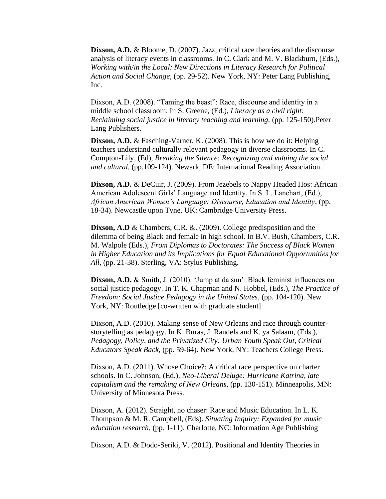**Dixson, A.D.** & Bloome, D. (2007). Jazz, critical race theories and the discourse analysis of literacy events in classrooms. In C. Clark and M. V. Blackburn, (Eds.), *Working with/in the Local: New Directions in Literacy Research for Political Action and Social Change*, (pp. 29-52). New York, NY: Peter Lang Publishing, Inc.

Dixson, A.D. (2008). "Taming the beast": Race, discourse and identity in a middle school classroom. In S. Greene, (Ed.), *Literacy as a civil right: Reclaiming social justice in literacy teaching and learning,* (pp. 125-150).Peter Lang Publishers.

**Dixson, A.D.** & Fasching-Varner, K. (2008). This is how we do it: Helping teachers understand culturally relevant pedagogy in diverse classrooms. In C. Compton-Lily, (Ed), *Breaking the Silence: Recognizing and valuing the social and cultural*, (pp.109-124). Newark, DE: International Reading Association.

**Dixson, A.D.** & DeCuir, J. (2009). From Jezebels to Nappy Headed Hos: African American Adolescent Girls' Language and Identity. In S. L. Lanehart, (Ed.), *African American Women's Language: Discourse, Education and Identity*, (pp. 18-34). Newcastle upon Tyne, UK: Cambridge University Press.

**Dixson, A.D** & Chambers, C.R. &. (2009). College predisposition and the dilemma of being Black and female in high school. In B.V. Bush, Chambers, C.R. M. Walpole (Eds.), *From Diplomas to Doctorates: The Success of Black Women in Higher Education and its Implications for Equal Educational Opportunities for All*, (pp. 21-38). Sterling, VA: Stylus Publishing.

**Dixson, A.D.** & Smith, J. (2010). 'Jump at da sun': Black feminist influences on social justice pedagogy. In T. K. Chapman and N. Hobbel, (Eds.), *The Practice of Freedom: Social Justice Pedagogy in the United States*, (pp. 104-120). New York, NY: Routledge [co-written with graduate student]

Dixson, A.D. (2010). Making sense of New Orleans and race through counterstorytelling as pedagogy. In K. Buras, J. Randels and K. ya Salaam, (Eds.), *Pedagogy, Policy, and the Privatized City: Urban Youth Speak Out, Critical Educators Speak Back*, (pp. 59-64). New York, NY: Teachers College Press.

Dixson, A.D. (2011). Whose Choice?: A critical race perspective on charter schools. In C. Johnson, (Ed.), *Neo-Liberal Deluge: Hurricane Katrina, late capitalism and the remaking of New Orleans*, (pp. 130-151). Minneapolis, MN: University of Minnesota Press.

Dixson, A. (2012). Straight, no chaser: Race and Music Education. In L. K. Thompson & M. R. Campbell, (Eds). *Situating Inquiry: Expanded for music education research*, (pp. 1-11). Charlotte, NC: Information Age Publishing

Dixson, A.D. & Dodo-Seriki, V. (2012). Positional and Identity Theories in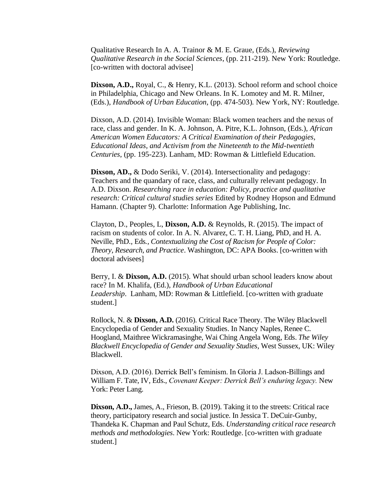Qualitative Research In A. A. Trainor & M. E. Graue, (Eds.), *Reviewing Qualitative Research in the Social Sciences*, (pp. 211-219). New York: Routledge. [co-written with doctoral advisee]

**Dixson, A.D.,** Royal, C., & Henry, K.L. (2013). School reform and school choice in Philadelphia, Chicago and New Orleans. In K. Lomotey and M. R. Milner, (Eds.), *Handbook of Urban Education*, (pp. 474-503)*.* New York, NY: Routledge.

Dixson, A.D. (2014). Invisible Woman: Black women teachers and the nexus of race, class and gender. In K. A. Johnson, A. Pitre, K.L. Johnson, (Eds.), *African American Women Educators: A Critical Examination of their Pedagogies, Educational Ideas, and Activism from the Nineteenth to the Mid-twentieth Centuries*, (pp. 195-223). Lanham, MD: Rowman & Littlefield Education.

**Dixson, AD.,** & Dodo Seriki, V. (2014). Intersectionality and pedagogy: Teachers and the quandary of race, class, and culturally relevant pedagogy. In A.D. Dixson. *Researching race in education: Policy, practice and qualitative research: Critical cultural studies series* Edited by Rodney Hopson and Edmund Hamann. (Chapter 9). Charlotte: Information Age Publishing, Inc.

Clayton, D., Peoples, L, **Dixson, A.D.** & Reynolds, R. (2015). The impact of racism on students of color. In A. N. Alvarez, C. T. H. Liang, PhD, and H. A. Neville, PhD*.,* Eds*., Contextualizing the Cost of Racism for People of Color: Theory, Research, and Practice*. Washington, DC: APA Books. [co-written with doctoral advisees]

Berry, I. & **Dixson, A.D.** (2015). What should urban school leaders know about race? In M. Khalifa, (Ed.), *Handbook of Urban Educational Leadership*. Lanham, MD: Rowman & Littlefield. [co-written with graduate student.]

Rollock, N. & **Dixson, A.D.** (2016). Critical Race Theory. The Wiley Blackwell Encyclopedia of Gender and Sexuality Studies. In Nancy Naples, Renee C. Hoogland, Maithree Wickramasinghe, Wai Ching Angela Wong, Eds. *The Wiley Blackwell Encyclopedia of Gender and Sexuality Studies*, West Sussex, UK: Wiley Blackwell.

Dixson, A.D. (2016). Derrick Bell's feminism. In Gloria J. Ladson-Billings and William F. Tate, IV, Eds., *Covenant Keeper: Derrick Bell's enduring legacy.* New York: Peter Lang.

**Dixson, A.D.,** James, A., Frieson, B. (2019). Taking it to the streets: Critical race theory, participatory research and social justice. In Jessica T. DeCuir-Gunby, Thandeka K. Chapman and Paul Schutz, Eds. *Understanding critical race research methods and methodologies*. New York: Routledge. [co-written with graduate student.]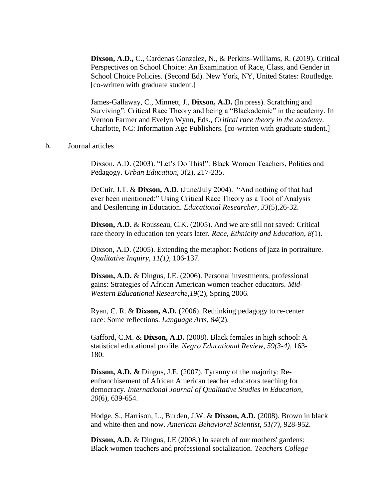**Dixson, A.D.,** C., Cardenas Gonzalez, N., & Perkins-Williams, R. (2019). Critical Perspectives on School Choice: An Examination of Race, Class, and Gender in School Choice Policies. (Second Ed). New York, NY, United States: Routledge. [co-written with graduate student.]

James-Gallaway, C., Minnett, J., **Dixson, A.D.** (In press). Scratching and Surviving": Critical Race Theory and being a "Blackademic" in the academy. In Vernon Farmer and Evelyn Wynn, Eds., *Critical race theory in the academy*. Charlotte, NC: Information Age Publishers. [co-written with graduate student.]

#### b. Journal articles

Dixson, A.D. (2003). "Let's Do This!": Black Women Teachers, Politics and Pedagogy. *Urban Education*, *3*(2), 217-235.

DeCuir, J.T. & **Dixson, A.D**. (June/July 2004). "And nothing of that had ever been mentioned:" Using Critical Race Theory as a Tool of Analysis and Desilencing in Education. *Educational Researcher*, *33*(5),26-32.

**Dixson, A.D.** & Rousseau, C.K. (2005). And we are still not saved: Critical race theory in education ten years later. *Race, Ethnicity and Education*, *8(*1).

Dixson, A.D. (2005). Extending the metaphor: Notions of jazz in portraiture. *Qualitative Inquiry, 11(1)*, 106-137.

**Dixson, A.D.** & Dingus, J.E. (2006). Personal investments, professional gains: Strategies of African American women teacher educators. *Mid-Western Educational Researche*,*19*(2), Spring 2006.

Ryan, C. R. & **Dixson, A.D.** (2006). Rethinking pedagogy to re-center race: Some reflections. *Language Arts*, *84*(2).

Gafford, C.M. & **Dixson, A.D.** (2008). Black females in high school: A statistical educational profile. *Negro Educational Review, 59(3-4),* 163- 180.

**Dixson, A.D. &** Dingus, J.E. (2007). Tyranny of the majority: Reenfranchisement of African American teacher educators teaching for democracy. *International Journal of Qualitative Studies in Education*, *20*(6), 639-654.

Hodge, S., Harrison, L., Burden, J.W. & **Dixson, A.D.** (2008). Brown in black and white-then and now. *American Behavioral Scientist*, *51(7)*, 928-952.

**Dixson, A.D.** & Dingus, J.E (2008.) In search of our mothers' gardens: Black women teachers and professional socialization. *Teachers College*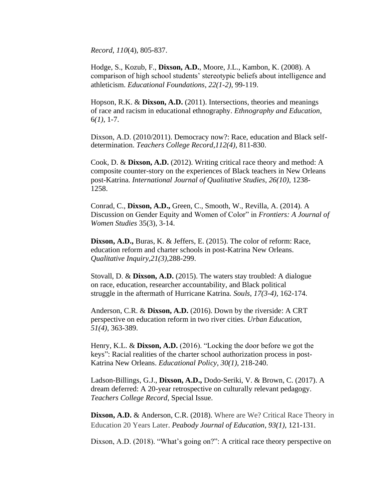*Record*, *110*(4), 805-837.

Hodge, S., Kozub, F., **Dixson, A.D.**, Moore, J.L., Kambon, K. (2008). A comparison of high school students' stereotypic beliefs about intelligence and athleticism. *Educational Foundations*, *22(1-2)*, 99-119.

Hopson, R.K. & **Dixson, A.D.** (2011). Intersections, theories and meanings of race and racism in educational ethnography. *Ethnography and Education*, 6*(1)*, 1-7.

Dixson, A.D. (2010/2011). Democracy now?: Race, education and Black selfdetermination. *Teachers College Record,112(4)*, 811-830.

Cook, D. & **Dixson, A.D.** (2012). Writing critical race theory and method: A composite counter-story on the experiences of Black teachers in New Orleans post-Katrina. *International Journal of Qualitative Studies*, *26(10)*, 1238- 1258.

Conrad, C., **Dixson, A.D.,** Green, C., Smooth, W., Revilla, A. (2014). A Discussion on Gender Equity and Women of Color" in *Frontiers: A Journal of Women Studies* 35(3), 3-14.

**Dixson, A.D.,** Buras, K. & Jeffers, E. (2015). The color of reform: Race, education reform and charter schools in post-Katrina New Orleans. *Qualitative Inquiry,21(3),*288-299.

Stovall, D. & **Dixson, A.D.** (2015). The waters stay troubled: A dialogue on race, education, researcher accountability, and Black political struggle in the aftermath of Hurricane Katrina. *Souls*, *17(3-4),* 162-174.

Anderson, C.R. & **Dixson, A.D.** (2016). Down by the riverside: A CRT perspective on education reform in two river cities. *Urban Education*, *51(4)*, 363-389.

Henry, K.L. & **Dixson, A.D.** (2016). "Locking the door before we got the keys": Racial realities of the charter school authorization process in post-Katrina New Orleans. *Educational Policy*, *30(1)*, 218-240.

Ladson-Billings, G.J., **Dixson, A.D.,** Dodo-Seriki, V. & Brown, C. (2017). A dream deferred: A 20-year retrospective on culturally relevant pedagogy. *Teachers College Record,* Special Issue.

**Dixson, A.D.** & Anderson, C.R. (2018). Where are We? Critical Race Theory in Education 20 Years Later. *Peabody Journal of Education*, *93(1)*, 121-131.

Dixson, A.D. (2018). "What's going on?": A critical race theory perspective on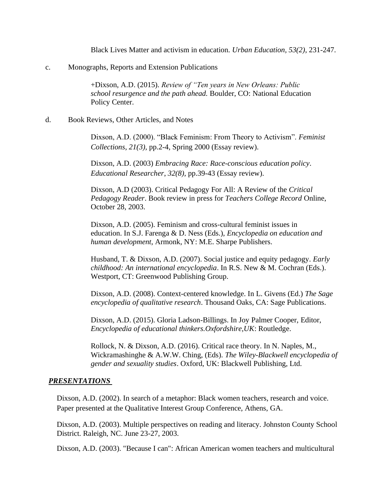Black Lives Matter and activism in education. *Urban Education, 53(2)*, 231-247.

c. Monographs, Reports and Extension Publications

+Dixson, A.D. (2015). *Review of "Ten years in New Orleans: Public school resurgence and the path ahead.* Boulder, CO: National Education Policy Center.

#### d. Book Reviews, Other Articles, and Notes

Dixson, A.D. (2000). "Black Feminism: From Theory to Activism". *Feminist Collections*, *21(3),* pp.2-4, Spring 2000 (Essay review).

Dixson, A.D. (2003) *Embracing Race: Race-conscious education policy*. *Educational Researcher*, *32(8),* pp.39-43 (Essay review).

Dixson, A.D (2003). Critical Pedagogy For All: A Review of the *Critical Pedagogy Reader*. Book review in press for *Teachers College Record* Online, October 28, 2003.

Dixson, A.D. (2005). Feminism and cross-cultural feminist issues in education. In S.J. Farenga & D. Ness (Eds.), *Encyclopedia on education and human development*, Armonk, NY: M.E. Sharpe Publishers.

Husband, T. & Dixson, A.D. (2007). Social justice and equity pedagogy. *Early childhood: An international encyclopedia*. In R.S. New & M. Cochran (Eds.). Westport, CT: Greenwood Publishing Group.

Dixson, A.D. (2008). Context-centered knowledge. In L. Givens (Ed.) *The Sage encyclopedia of qualitative research*. Thousand Oaks, CA: Sage Publications.

Dixson, A.D. (2015). Gloria Ladson-Billings. In Joy Palmer Cooper, Editor, *Encyclopedia of educational thinkers.Oxfordshire,UK*: Routledge.

Rollock, N. & Dixson, A.D. (2016). Critical race theory. In N. Naples, M., Wickramashinghe & A.W.W. Ching, (Eds). *The Wiley-Blackwell encyclopedia of gender and sexuality studies*. Oxford, UK: Blackwell Publishing, Ltd.

#### *PRESENTATIONS*

Dixson, A.D. (2002). In search of a metaphor: Black women teachers, research and voice. Paper presented at the Qualitative Interest Group Conference, Athens, GA.

Dixson, A.D. (2003). Multiple perspectives on reading and literacy. Johnston County School District. Raleigh, NC. June 23-27, 2003.

Dixson, A.D. (2003). "Because I can": African American women teachers and multicultural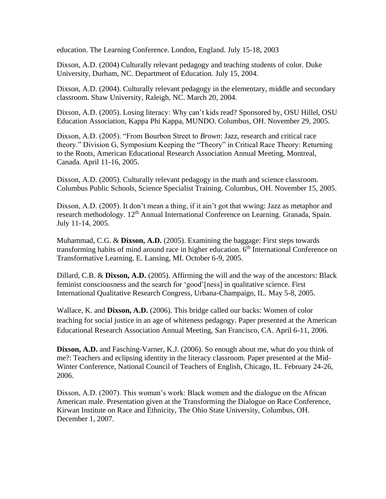education. The Learning Conference. London, England. July 15-18, 2003

Dixson, A.D. (2004) Culturally relevant pedagogy and teaching students of color. Duke University, Durham, NC. Department of Education. July 15, 2004.

Dixson, A.D. (2004). Culturally relevant pedagogy in the elementary, middle and secondary classroom. Shaw University, Raleigh, NC. March 20, 2004.

Dixson, A.D. (2005). Losing literacy: Why can't kids read? Sponsored by, OSU Hillel, OSU Education Association, Kappa Phi Kappa, MUNDO. Columbus, OH. November 29, 2005.

Dixson, A.D. (2005). "From Bourbon Street to *Brown*: Jazz, research and critical race theory." Division G, Symposium Keeping the "Theory" in Critical Race Theory: Returning to the Roots, American Educational Research Association Annual Meeting, Montreal, Canada. April 11-16, 2005.

Dixson, A.D. (2005). Culturally relevant pedagogy in the math and science classroom. Columbus Public Schools, Science Specialist Training. Columbus, OH. November 15, 2005.

Dixson, A.D. (2005). It don't mean a thing, if it ain't got that wwing: Jazz as metaphor and research methodology. 12<sup>th</sup> Annual International Conference on Learning. Granada, Spain. July 11-14, 2005.

Muhammad, C.G. & **Dixson, A.D.** (2005). Examining the baggage: First steps towards transforming habits of mind around race in higher education.  $6<sup>th</sup>$  International Conference on Transformative Learning. E. Lansing, MI. October 6-9, 2005.

Dillard, C.B. & **Dixson, A.D.** (2005). Affirming the will and the way of the ancestors: Black feminist consciousness and the search for 'good'[ness] in qualitative science. First International Qualitative Research Congress, Urbana-Champaign, IL. May 5-8, 2005.

Wallace, K. and **Dixson, A.D.** (2006). This bridge called our backs: Women of color teaching for social justice in an age of whiteness pedagogy. Paper presented at the American Educational Research Association Annual Meeting, San Francisco, CA. April 6-11, 2006.

**Dixson, A.D.** and Fasching-Varner, K.J. (2006). So enough about me, what do you think of me?: Teachers and eclipsing identity in the literacy classroom. Paper presented at the Mid-Winter Conference, National Council of Teachers of English, Chicago, IL. February 24-26, 2006.

Dixson, A.D. (2007). This woman's work: Black women and the dialogue on the African American male. Presentation given at the Transforming the Dialogue on Race Conference, Kirwan Institute on Race and Ethnicity, The Ohio State University, Columbus, OH. December 1, 2007.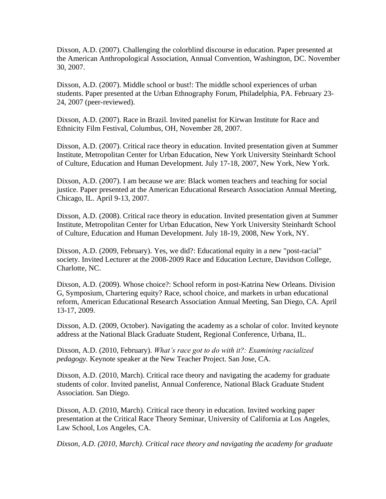Dixson, A.D. (2007). Challenging the colorblind discourse in education. Paper presented at the American Anthropological Association, Annual Convention, Washington, DC. November 30, 2007.

Dixson, A.D. (2007). Middle school or bust!: The middle school experiences of urban students. Paper presented at the Urban Ethnography Forum, Philadelphia, PA. February 23- 24, 2007 (peer-reviewed).

Dixson, A.D. (2007). Race in Brazil. Invited panelist for Kirwan Institute for Race and Ethnicity Film Festival, Columbus, OH, November 28, 2007.

Dixson, A.D. (2007). Critical race theory in education. Invited presentation given at Summer Institute, Metropolitan Center for Urban Education, New York University Steinhardt School of Culture, Education and Human Development. July 17-18, 2007, New York, New York.

Dixson, A.D. (2007). I am because we are: Black women teachers and teaching for social justice. Paper presented at the American Educational Research Association Annual Meeting, Chicago, IL. April 9-13, 2007.

Dixson, A.D. (2008). Critical race theory in education. Invited presentation given at Summer Institute, Metropolitan Center for Urban Education, New York University Steinhardt School of Culture, Education and Human Development. July 18-19, 2008, New York, NY.

Dixson, A.D. (2009, February). Yes, we did?: Educational equity in a new "post-racial" society. Invited Lecturer at the 2008-2009 Race and Education Lecture, Davidson College, Charlotte, NC.

Dixson, A.D. (2009). Whose choice?: School reform in post-Katrina New Orleans. Division G, Symposium, Chartering equity? Race, school choice, and markets in urban educational reform, American Educational Research Association Annual Meeting, San Diego, CA. April 13-17, 2009.

Dixson, A.D. (2009, October). Navigating the academy as a scholar of color*.* Invited keynote address at the National Black Graduate Student, Regional Conference, Urbana, IL.

Dixson, A.D. (2010, February). *What's race got to do with it?: Examining racialized pedagogy.* Keynote speaker at the New Teacher Project. San Jose, CA.

Dixson, A.D. (2010, March). Critical race theory and navigating the academy for graduate students of color. Invited panelist, Annual Conference, National Black Graduate Student Association. San Diego.

Dixson, A.D. (2010, March). Critical race theory in education. Invited working paper presentation at the Critical Race Theory Seminar, University of California at Los Angeles, Law School, Los Angeles, CA*.*

*Dixson, A.D. (2010, March). Critical race theory and navigating the academy for graduate*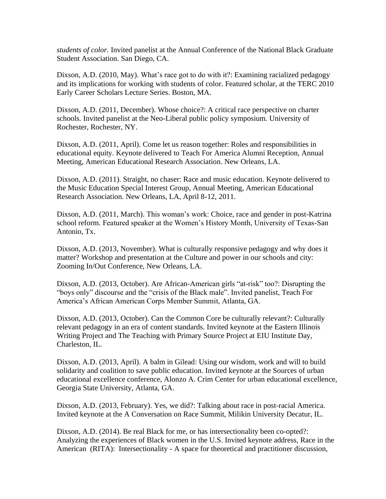*students of color.* Invited panelist at the Annual Conference of the National Black Graduate Student Association. San Diego, CA.

Dixson, A.D. (2010, May). What's race got to do with it?: Examining racialized pedagogy and its implications for working with students of color*.* Featured scholar, at the TERC 2010 Early Career Scholars Lecture Series. Boston, MA.

Dixson, A.D. (2011, December). Whose choice?: A critical race perspective on charter schools*.* Invited panelist at the Neo-Liberal public policy symposium. University of Rochester, Rochester, NY.

Dixson, A.D. (2011, April). Come let us reason together: Roles and responsibilities in educational equity. Keynote delivered to Teach For America Alumni Reception, Annual Meeting, American Educational Research Association. New Orleans, LA.

Dixson, A.D. (2011). Straight, no chaser: Race and music education. Keynote delivered to the Music Education Special Interest Group, Annual Meeting, American Educational Research Association. New Orleans, LA, April 8-12, 2011.

Dixson, A.D. (2011, March). This woman's work: Choice, race and gender in post-Katrina school reform. Featured speaker at the Women's History Month, University of Texas-San Antonio, Tx.

Dixson, A.D. (2013, November). What is culturally responsive pedagogy and why does it matter? Workshop and presentation at the Culture and power in our schools and city: Zooming In/Out Conference, New Orleans, LA.

Dixson, A.D. (2013, October). Are African-American girls "at-risk" too?: Disrupting the "boys only" discourse and the "crisis of the Black male". Invited panelist, Teach For America's African American Corps Member Summit, Atlanta, GA.

Dixson, A.D. (2013, October). Can the Common Core be culturally relevant?: Culturally relevant pedagogy in an era of content standards*.* Invited keynote at the Eastern Illinois Writing Project and The Teaching with Primary Source Project at EIU Institute Day, Charleston, IL.

Dixson, A.D. (2013, April). A balm in Gilead: Using our wisdom, work and will to build solidarity and coalition to save public education. Invited keynote at the Sources of urban educational excellence conference, Alonzo A. Crim Center for urban educational excellence, Georgia State University, Atlanta, GA.

Dixson, A.D. (2013, February). Yes, we did?: Talking about race in post-racial America. Invited keynote at the A Conversation on Race Summit, Milikin University Decatur, IL.

Dixson, A.D. (2014). Be real Black for me, or has intersectionality been co-opted?: Analyzing the experiences of Black women in the U.S. Invited keynote address, Race in the American (RITA): Intersectionality - A space for theoretical and practitioner discussion,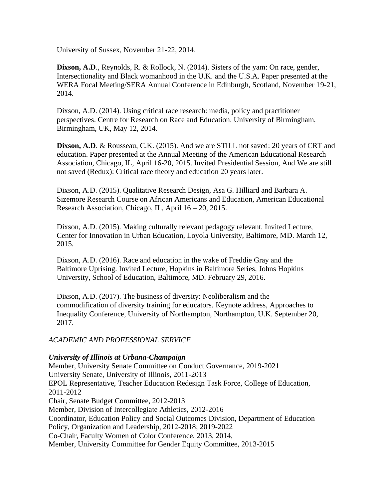University of Sussex, November 21-22, 2014.

**Dixson, A.D.**, Reynolds, R. & Rollock, N. (2014). Sisters of the yam: On race, gender, Intersectionality and Black womanhood in the U.K. and the U.S.A. Paper presented at the WERA Focal Meeting/SERA Annual Conference in Edinburgh, Scotland, November 19-21, 2014.

Dixson, A.D. (2014). Using critical race research: media, policy and practitioner perspectives. Centre for Research on Race and Education. University of Birmingham, Birmingham, UK, May 12, 2014.

**Dixson, A.D.** & Rousseau, C.K. (2015). And we are STILL not saved: 20 years of CRT and education. Paper presented at the Annual Meeting of the American Educational Research Association, Chicago, IL, April 16-20, 2015. Invited Presidential Session, And We are still not saved (Redux): Critical race theory and education 20 years later.

Dixson, A.D. (2015). Qualitative Research Design, Asa G. Hilliard and Barbara A. Sizemore Research Course on African Americans and Education, American Educational Research Association, Chicago, IL, April 16 – 20, 2015.

Dixson, A.D. (2015). Making culturally relevant pedagogy relevant. Invited Lecture, Center for Innovation in Urban Education, Loyola University, Baltimore, MD. March 12, 2015.

Dixson, A.D. (2016). Race and education in the wake of Freddie Gray and the Baltimore Uprising. Invited Lecture, Hopkins in Baltimore Series, Johns Hopkins University, School of Education, Baltimore, MD. February 29, 2016.

Dixson, A.D. (2017). The business of diversity: Neoliberalism and the commodification of diversity training for educators. Keynote address, Approaches to Inequality Conference, University of Northampton, Northampton, U.K. September 20, 2017.

## *ACADEMIC AND PROFESSIONAL SERVICE*

## *University of Illinois at Urbana-Champaign*

Member, University Senate Committee on Conduct Governance, 2019-2021 University Senate, University of Illinois, 2011-2013 EPOL Representative, Teacher Education Redesign Task Force, College of Education, 2011-2012 Chair, Senate Budget Committee, 2012-2013 Member, Division of Intercollegiate Athletics, 2012-2016 Coordinator, Education Policy and Social Outcomes Division, Department of Education Policy, Organization and Leadership, 2012-2018; 2019-2022 Co-Chair, Faculty Women of Color Conference, 2013, 2014, Member, University Committee for Gender Equity Committee, 2013-2015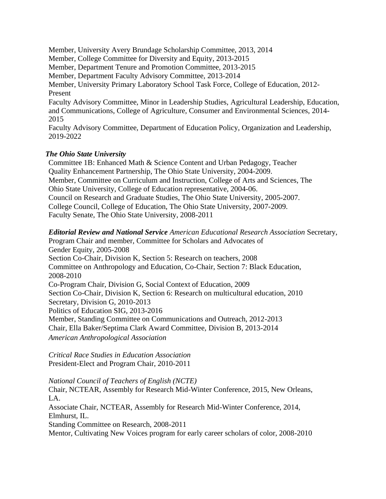Member, University Avery Brundage Scholarship Committee, 2013, 2014 Member, College Committee for Diversity and Equity, 2013-2015 Member, Department Tenure and Promotion Committee, 2013-2015 Member, Department Faculty Advisory Committee, 2013-2014 Member, University Primary Laboratory School Task Force, College of Education, 2012- Present Faculty Advisory Committee, Minor in Leadership Studies, Agricultural Leadership, Education, and Communications, College of Agriculture, Consumer and Environmental Sciences, 2014- 2015 Faculty Advisory Committee, Department of Education Policy, Organization and Leadership, 2019-2022

#### *The Ohio State University*

Committee 1B: Enhanced Math & Science Content and Urban Pedagogy, Teacher Quality Enhancement Partnership, The Ohio State University, 2004-2009. Member, Committee on Curriculum and Instruction, College of Arts and Sciences, The Ohio State University, College of Education representative, 2004-06. Council on Research and Graduate Studies, The Ohio State University, 2005-2007. College Council, College of Education, The Ohio State University, 2007-2009. Faculty Senate, The Ohio State University, 2008-2011

*Editorial Review and National Service American Educational Research Association* Secretary, Program Chair and member, Committee for Scholars and Advocates of Gender Equity, 2005-2008 Section Co-Chair, Division K, Section 5: Research on teachers, 2008 Committee on Anthropology and Education, Co-Chair, Section 7: Black Education, 2008-2010 Co-Program Chair, Division G, Social Context of Education, 2009 Section Co-Chair, Division K, Section 6: Research on multicultural education, 2010 Secretary, Division G, 2010-2013 Politics of Education SIG, 2013-2016 Member, Standing Committee on Communications and Outreach, 2012-2013 Chair, Ella Baker/Septima Clark Award Committee, Division B, 2013-2014 *American Anthropological Association*

*Critical Race Studies in Education Association* President-Elect and Program Chair, 2010-2011

*National Council of Teachers of English (NCTE)* Chair, NCTEAR, Assembly for Research Mid-Winter Conference, 2015, New Orleans, LA. Associate Chair, NCTEAR, Assembly for Research Mid-Winter Conference, 2014, Elmhurst, IL. Standing Committee on Research, 2008-2011 Mentor, Cultivating New Voices program for early career scholars of color, 2008-2010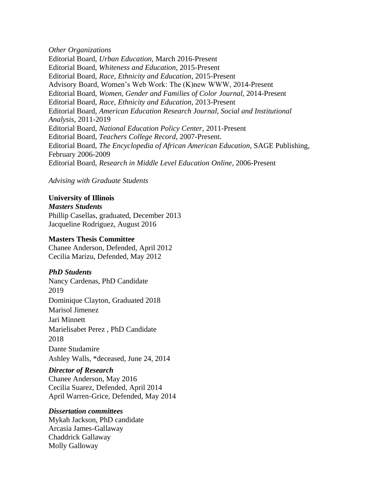*Other Organizations* Editorial Board, *Urban Education*, March 2016-Present Editorial Board, *Whiteness and Education*, 2015-Present Editorial Board, *Race, Ethnicity and Education*, 2015-Present Advisory Board, Women's Web Work: The (K)new WWW, 2014-Present Editorial Board, *Women, Gender and Families of Color Journal,* 2014-Present Editorial Board, *Race, Ethnicity and Education,* 2013-Present Editorial Board, *American Education Research Journal, Social and Institutional Analysis*, 2011-2019 Editorial Board, *National Education Policy Center*, 2011-Present Editorial Board, *Teachers College Record*, 2007-Present. Editorial Board, *The Encyclopedia of African American Education*, SAGE Publishing, February 2006-2009 Editorial Board, *Research in Middle Level Education Online*, 2006-Present

*Advising with Graduate Students*

## **University of Illinois**

*Masters Students* Phillip Casellas, graduated, December 2013

Jacqueline Rodriguez, August 2016

#### **Masters Thesis Committee**

Chanee Anderson, Defended, April 2012 Cecilia Marizu, Defended, May 2012

## *PhD Students*

Nancy Cardenas, PhD Candidate 2019 Dominique Clayton, Graduated 2018 Marisol Jimenez Jari Minnett Marielisabet Perez , PhD Candidate 2018 Dante Studamire Ashley Walls, \*deceased, June 24, 2014

## *Director of Research*

Chanee Anderson, May 2016 Cecilia Suarez, Defended, April 2014 April Warren-Grice, Defended, May 2014

#### *Dissertation committees*

Mykah Jackson, PhD candidate Arcasia James-Gallaway Chaddrick Gallaway Molly Galloway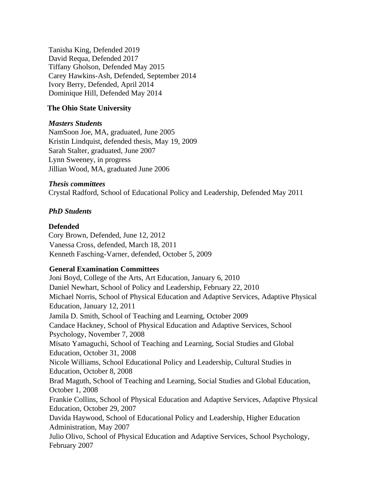Tanisha King, Defended 2019 David Requa, Defended 2017 Tiffany Gholson, Defended May 2015 Carey Hawkins-Ash, Defended, September 2014 Ivory Berry, Defended, April 2014 Dominique Hill, Defended May 2014

## **The Ohio State University**

## *Masters Students*

NamSoon Joe, MA, graduated, June 2005 Kristin Lindquist, defended thesis, May 19, 2009 Sarah Stalter, graduated, June 2007 Lynn Sweeney, in progress Jillian Wood, MA, graduated June 2006

## *Thesis committees*

Crystal Radford, School of Educational Policy and Leadership, Defended May 2011

## *PhD Students*

## **Defended**

Cory Brown, Defended, June 12, 2012 Vanessa Cross, defended, March 18, 2011 Kenneth Fasching-Varner, defended, October 5, 2009

## **General Examination Committees**

Joni Boyd, College of the Arts, Art Education, January 6, 2010 Daniel Newhart, School of Policy and Leadership, February 22, 2010 Michael Norris, School of Physical Education and Adaptive Services, Adaptive Physical Education, January 12, 2011 Jamila D. Smith, School of Teaching and Learning, October 2009 Candace Hackney, School of Physical Education and Adaptive Services, School Psychology, November 7, 2008 Misato Yamaguchi, School of Teaching and Learning, Social Studies and Global Education, October 31, 2008 Nicole Williams, School Educational Policy and Leadership, Cultural Studies in Education, October 8, 2008 Brad Maguth, School of Teaching and Learning, Social Studies and Global Education, October 1, 2008 Frankie Collins, School of Physical Education and Adaptive Services, Adaptive Physical Education, October 29, 2007 Davida Haywood, School of Educational Policy and Leadership, Higher Education Administration, May 2007 Julio Olivo, School of Physical Education and Adaptive Services, School Psychology, February 2007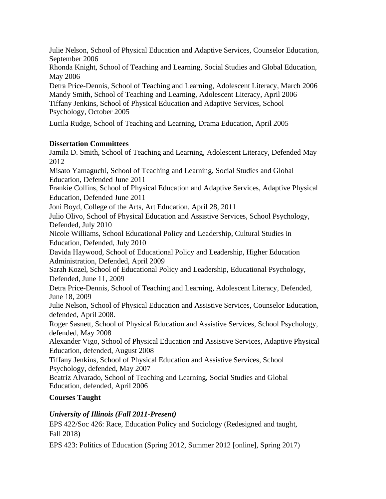Julie Nelson, School of Physical Education and Adaptive Services, Counselor Education, September 2006

Rhonda Knight, School of Teaching and Learning, Social Studies and Global Education, May 2006

Detra Price-Dennis, School of Teaching and Learning, Adolescent Literacy, March 2006 Mandy Smith, School of Teaching and Learning, Adolescent Literacy, April 2006 Tiffany Jenkins, School of Physical Education and Adaptive Services, School Psychology, October 2005

Lucila Rudge, School of Teaching and Learning, Drama Education, April 2005

# **Dissertation Committees**

Jamila D. Smith, School of Teaching and Learning, Adolescent Literacy, Defended May 2012 Misato Yamaguchi, School of Teaching and Learning, Social Studies and Global Education, Defended June 2011 Frankie Collins, School of Physical Education and Adaptive Services, Adaptive Physical Education, Defended June 2011 Joni Boyd, College of the Arts, Art Education, April 28, 2011 Julio Olivo, School of Physical Education and Assistive Services, School Psychology, Defended, July 2010 Nicole Williams, School Educational Policy and Leadership, Cultural Studies in Education, Defended, July 2010 Davida Haywood, School of Educational Policy and Leadership, Higher Education Administration, Defended, April 2009 Sarah Kozel, School of Educational Policy and Leadership, Educational Psychology, Defended, June 11, 2009 Detra Price-Dennis, School of Teaching and Learning, Adolescent Literacy, Defended, June 18, 2009 Julie Nelson, School of Physical Education and Assistive Services, Counselor Education, defended, April 2008. Roger Sasnett, School of Physical Education and Assistive Services, School Psychology, defended, May 2008 Alexander Vigo, School of Physical Education and Assistive Services, Adaptive Physical Education, defended, August 2008 Tiffany Jenkins, School of Physical Education and Assistive Services, School Psychology, defended, May 2007 Beatriz Alvarado, School of Teaching and Learning, Social Studies and Global Education, defended, April 2006

# **Courses Taught**

# *University of Illinois (Fall 2011-Present)*

EPS 422/Soc 426: Race, Education Policy and Sociology (Redesigned and taught, Fall 2018)

EPS 423: Politics of Education (Spring 2012, Summer 2012 [online], Spring 2017)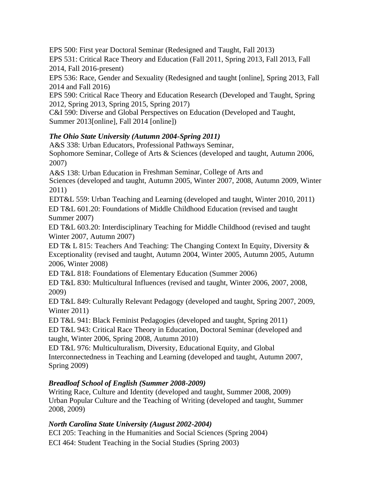EPS 500: First year Doctoral Seminar (Redesigned and Taught, Fall 2013)

EPS 531: Critical Race Theory and Education (Fall 2011, Spring 2013, Fall 2013, Fall 2014, Fall 2016-present)

EPS 536: Race, Gender and Sexuality (Redesigned and taught [online], Spring 2013, Fall 2014 and Fall 2016)

EPS 590: Critical Race Theory and Education Research (Developed and Taught, Spring 2012, Spring 2013, Spring 2015, Spring 2017)

C&I 590: Diverse and Global Perspectives on Education (Developed and Taught, Summer 2013[online], Fall 2014 [online])

# *The Ohio State University (Autumn 2004-Spring 2011)*

A&S 338: Urban Educators, Professional Pathways Seminar,

Sophomore Seminar, College of Arts & Sciences (developed and taught, Autumn 2006, 2007)

A&S 138: Urban Education in Freshman Seminar, College of Arts and

Sciences (developed and taught, Autumn 2005, Winter 2007, 2008, Autumn 2009, Winter 2011)

EDT&L 559: Urban Teaching and Learning (developed and taught, Winter 2010, 2011) ED T&L 601.20: Foundations of Middle Childhood Education (revised and taught Summer 2007)

ED T&L 603.20: Interdisciplinary Teaching for Middle Childhood (revised and taught Winter 2007, Autumn 2007)

ED T& L 815: Teachers And Teaching: The Changing Context In Equity, Diversity & Exceptionality (revised and taught, Autumn 2004, Winter 2005, Autumn 2005, Autumn 2006, Winter 2008)

ED T&L 818: Foundations of Elementary Education (Summer 2006)

ED T&L 830: Multicultural Influences (revised and taught, Winter 2006, 2007, 2008, 2009)

ED T&L 849: Culturally Relevant Pedagogy (developed and taught, Spring 2007, 2009, Winter 2011)

ED T&L 941: Black Feminist Pedagogies (developed and taught, Spring 2011)

ED T&L 943: Critical Race Theory in Education, Doctoral Seminar (developed and taught, Winter 2006, Spring 2008, Autumn 2010)

ED T&L 976: Multiculturalism, Diversity, Educational Equity, and Global Interconnectedness in Teaching and Learning (developed and taught, Autumn 2007, Spring 2009)

# *Breadloaf School of English (Summer 2008-2009)*

Writing Race, Culture and Identity (developed and taught, Summer 2008, 2009) Urban Popular Culture and the Teaching of Writing (developed and taught, Summer 2008, 2009)

# *North Carolina State University (August 2002-2004)*

ECI 205: Teaching in the Humanities and Social Sciences (Spring 2004)

ECI 464: Student Teaching in the Social Studies (Spring 2003)